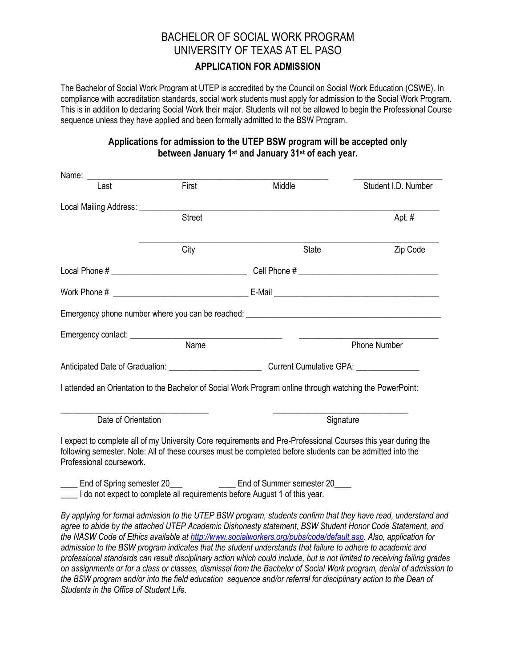# BACHELOR OF SOCIAL WORK PROGRAM UNIVERSITY OF TEXAS AT EL PASO **APPLICATION FOR ADMISSION**

The Bachelor of Social Work Program at UTEP is accredited by the Council on Social Work Education (CSWE). In compliance with accreditation standards, social work students must apply for admission to the Social Work Program. This is in addition to declaring Social Work their major. Students will not be allowed to begin the Professional Course sequence unless they have applied and been formally admitted to the BSW Program.

## **Applications for admission to the UTEP BSW program will be accepted only between January 1 st and January 31st of each year.**

| Last                                                                       | First         | Middle                                                                                                                                                                                                                     | Student I.D. Number                                                                                                                                                                                                                                                                                                                          |  |
|----------------------------------------------------------------------------|---------------|----------------------------------------------------------------------------------------------------------------------------------------------------------------------------------------------------------------------------|----------------------------------------------------------------------------------------------------------------------------------------------------------------------------------------------------------------------------------------------------------------------------------------------------------------------------------------------|--|
| Local Mailing Address: ________                                            |               |                                                                                                                                                                                                                            |                                                                                                                                                                                                                                                                                                                                              |  |
|                                                                            | <b>Street</b> |                                                                                                                                                                                                                            | Apt. #                                                                                                                                                                                                                                                                                                                                       |  |
|                                                                            | City          | State                                                                                                                                                                                                                      | Zip Code                                                                                                                                                                                                                                                                                                                                     |  |
|                                                                            |               |                                                                                                                                                                                                                            |                                                                                                                                                                                                                                                                                                                                              |  |
|                                                                            |               |                                                                                                                                                                                                                            |                                                                                                                                                                                                                                                                                                                                              |  |
|                                                                            |               |                                                                                                                                                                                                                            |                                                                                                                                                                                                                                                                                                                                              |  |
|                                                                            |               |                                                                                                                                                                                                                            |                                                                                                                                                                                                                                                                                                                                              |  |
|                                                                            | Name          |                                                                                                                                                                                                                            | Phone Number                                                                                                                                                                                                                                                                                                                                 |  |
|                                                                            |               |                                                                                                                                                                                                                            |                                                                                                                                                                                                                                                                                                                                              |  |
|                                                                            |               | I attended an Orientation to the Bachelor of Social Work Program online through watching the PowerPoint:                                                                                                                   |                                                                                                                                                                                                                                                                                                                                              |  |
| Date of Orientation                                                        |               |                                                                                                                                                                                                                            | Signature                                                                                                                                                                                                                                                                                                                                    |  |
| Professional coursework.                                                   |               | I expect to complete all of my University Core requirements and Pre-Professional Courses this year during the<br>following semester. Note: All of these courses must be completed before students can be admitted into the |                                                                                                                                                                                                                                                                                                                                              |  |
| I do not expect to complete all requirements before August 1 of this year. |               | End of Spring semester 20_________________________ End of Summer semester 20_____                                                                                                                                          |                                                                                                                                                                                                                                                                                                                                              |  |
|                                                                            |               | admission to the RSW program indicates that the student understands that failure to adhere to academic and                                                                                                                 | By applying for formal admission to the UTEP BSW program, students confirm that they have read, understand and<br>agree to abide by the attached UTEP Academic Dishonesty statement, BSW Student Honor Code Statement, and<br>the NASW Code of Ethics available at http://www.socialworkers.org/pubs/code/default.asp. Also, application for |  |

*admission to the BSW program indicates that the student understands that failure to adhere to academic and professional standards can result disciplinary action which could include, but is not limited to receiving failing grades on assignments or for a class or classes, dismissal from the Bachelor of Social Work program, denial of admission to the BSW program and/or into the field education sequence and/or referral for disciplinary action to the Dean of Students in the Office of Student Life.*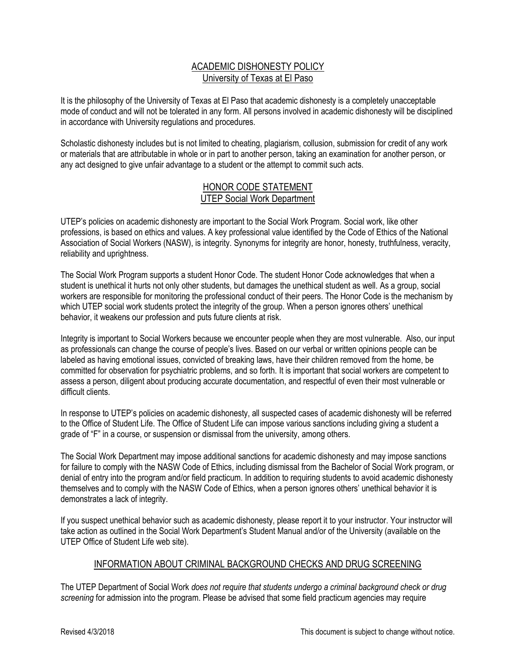#### ACADEMIC DISHONESTY POLICY University of Texas at El Paso

It is the philosophy of the University of Texas at El Paso that academic dishonesty is a completely unacceptable mode of conduct and will not be tolerated in any form. All persons involved in academic dishonesty will be disciplined in accordance with University regulations and procedures.

Scholastic dishonesty includes but is not limited to cheating, plagiarism, collusion, submission for credit of any work or materials that are attributable in whole or in part to another person, taking an examination for another person, or any act designed to give unfair advantage to a student or the attempt to commit such acts.

#### HONOR CODE STATEMENT UTEP Social Work Department

UTEP's policies on academic dishonesty are important to the Social Work Program. Social work, like other professions, is based on ethics and values. A key professional value identified by the Code of Ethics of the National Association of Social Workers (NASW), is integrity. Synonyms for integrity are honor, honesty, truthfulness, veracity, reliability and uprightness.

The Social Work Program supports a student Honor Code. The student Honor Code acknowledges that when a student is unethical it hurts not only other students, but damages the unethical student as well. As a group, social workers are responsible for monitoring the professional conduct of their peers. The Honor Code is the mechanism by which UTEP social work students protect the integrity of the group. When a person ignores others' unethical behavior, it weakens our profession and puts future clients at risk.

Integrity is important to Social Workers because we encounter people when they are most vulnerable. Also, our input as professionals can change the course of people's lives. Based on our verbal or written opinions people can be labeled as having emotional issues, convicted of breaking laws, have their children removed from the home, be committed for observation for psychiatric problems, and so forth. It is important that social workers are competent to assess a person, diligent about producing accurate documentation, and respectful of even their most vulnerable or difficult clients.

In response to UTEP's policies on academic dishonesty, all suspected cases of academic dishonesty will be referred to the Office of Student Life. The Office of Student Life can impose various sanctions including giving a student a grade of "F" in a course, or suspension or dismissal from the university, among others.

The Social Work Department may impose additional sanctions for academic dishonesty and may impose sanctions for failure to comply with the NASW Code of Ethics, including dismissal from the Bachelor of Social Work program, or denial of entry into the program and/or field practicum. In addition to requiring students to avoid academic dishonesty themselves and to comply with the NASW Code of Ethics, when a person ignores others' unethical behavior it is demonstrates a lack of integrity.

If you suspect unethical behavior such as academic dishonesty, please report it to your instructor. Your instructor will take action as outlined in the Social Work Department's Student Manual and/or of the University (available on the UTEP Office of Student Life web site).

## INFORMATION ABOUT CRIMINAL BACKGROUND CHECKS AND DRUG SCREENING

The UTEP Department of Social Work *does not require that students undergo a criminal background check or drug screening* for admission into the program. Please be advised that some field practicum agencies may require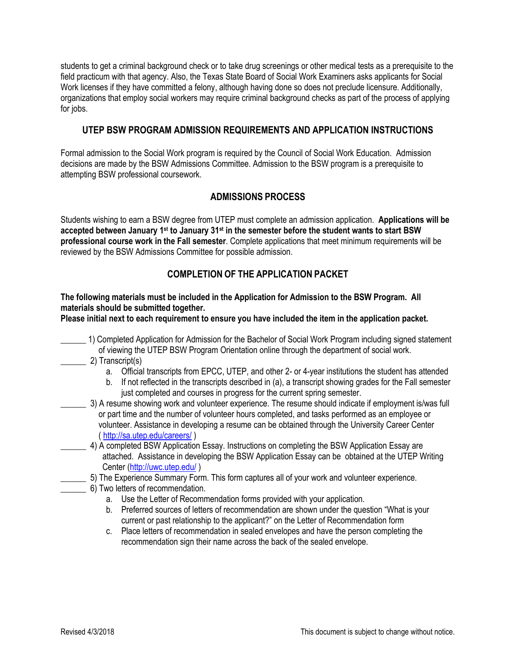students to get a criminal background check or to take drug screenings or other medical tests as a prerequisite to the field practicum with that agency. Also, the Texas State Board of Social Work Examiners asks applicants for Social Work licenses if they have committed a felony, although having done so does not preclude licensure. Additionally, organizations that employ social workers may require criminal background checks as part of the process of applying for jobs.

#### **UTEP BSW PROGRAM ADMISSION REQUIREMENTS AND APPLICATION INSTRUCTIONS**

Formal admission to the Social Work program is required by the Council of Social Work Education. Admission decisions are made by the BSW Admissions Committee. Admission to the BSW program is a prerequisite to attempting BSW professional coursework.

## **ADMISSIONS PROCESS**

Students wishing to earn a BSW degree from UTEP must complete an admission application. **Applications will be accepted between January 1 st to January 31st in the semester before the student wants to start BSW professional course work in the Fall semester**. Complete applications that meet minimum requirements will be reviewed by the BSW Admissions Committee for possible admission.

## **COMPLETION OF THE APPLICATION PACKET**

**The following materials must be included in the Application for Admission to the BSW Program. All materials should be submitted together.**

**Please initial next to each requirement to ensure you have included the item in the application packet.**

- \_\_\_\_\_\_ 1) Completed Application for Admission for the Bachelor of Social Work Program including signed statement of viewing the UTEP BSW Program Orientation online through the department of social work.
- \_\_\_\_\_\_ 2) Transcript(s)
	- a. Official transcripts from EPCC, UTEP, and other 2- or 4-year institutions the student has attended
	- b. If not reflected in the transcripts described in (a), a transcript showing grades for the Fall semester just completed and courses in progress for the current spring semester.
	- \_\_\_\_\_\_ 3) A resume showing work and volunteer experience. The resume should indicate if employment is/was full or part time and the number of volunteer hours completed, and tasks performed as an employee or volunteer. Assistance in developing a resume can be obtained through the University Career Center [\( http://sa.utep.edu/careers/](http://sa.utep.edu/careers/) )
	- 4) A completed BSW Application Essay. Instructions on completing the BSW Application Essay are attached. Assistance in developing the BSW Application Essay can be obtained at the UTEP Writing Center [\(http://uwc.utep.edu/](http://uwc.utep.edu/))
	- 5) The Experience Summary Form. This form captures all of your work and volunteer experience.
	- \_\_\_\_\_\_ 6) Two letters of recommendation.
		- a. Use the Letter of Recommendation forms provided with your application.
		- b. Preferred sources of letters of recommendation are shown under the question "What is your current or past relationship to the applicant?" on the Letter of Recommendation form
		- c. Place letters of recommendation in sealed envelopes and have the person completing the recommendation sign their name across the back of the sealed envelope.